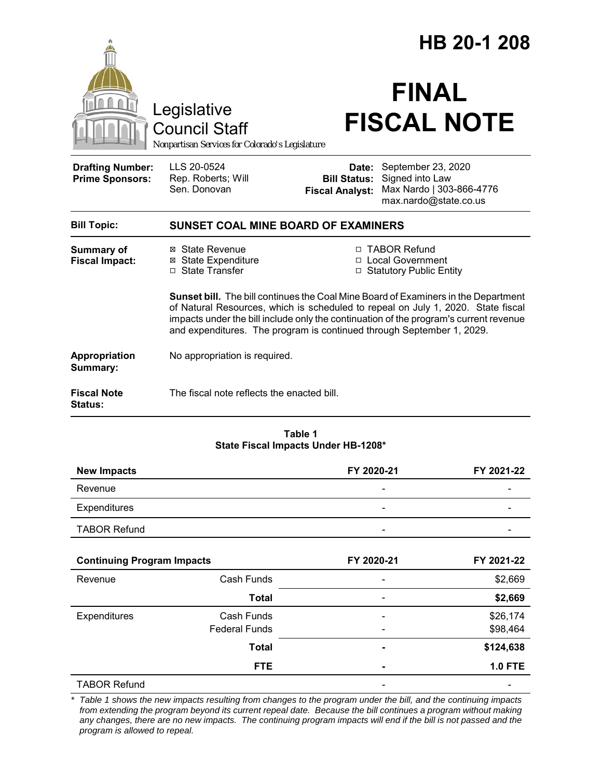|                                                   |                                                                                                                                                                                                                                                                                                                                          |                                                                   | HB 20-1 208              |                                                   |  |
|---------------------------------------------------|------------------------------------------------------------------------------------------------------------------------------------------------------------------------------------------------------------------------------------------------------------------------------------------------------------------------------------------|-------------------------------------------------------------------|--------------------------|---------------------------------------------------|--|
|                                                   | Legislative<br><b>Council Staff</b><br>Nonpartisan Services for Colorado's Legislature                                                                                                                                                                                                                                                   |                                                                   | <b>FINAL</b>             | <b>FISCAL NOTE</b>                                |  |
| <b>Drafting Number:</b><br><b>Prime Sponsors:</b> | LLS 20-0524<br>Rep. Roberts; Will<br>Sen. Donovan                                                                                                                                                                                                                                                                                        | <b>Bill Status:</b> Signed into Law<br><b>Fiscal Analyst:</b>     | Date: September 23, 2020 | Max Nardo   303-866-4776<br>max.nardo@state.co.us |  |
| <b>Bill Topic:</b>                                | <b>SUNSET COAL MINE BOARD OF EXAMINERS</b>                                                                                                                                                                                                                                                                                               |                                                                   |                          |                                                   |  |
| Summary of<br><b>Fiscal Impact:</b>               | ⊠ State Revenue<br><b>⊠</b> State Expenditure<br>□ State Transfer                                                                                                                                                                                                                                                                        | □ TABOR Refund<br>□ Local Government<br>□ Statutory Public Entity |                          |                                                   |  |
|                                                   | Sunset bill. The bill continues the Coal Mine Board of Examiners in the Department<br>of Natural Resources, which is scheduled to repeal on July 1, 2020. State fiscal<br>impacts under the bill include only the continuation of the program's current revenue<br>and expenditures. The program is continued through September 1, 2029. |                                                                   |                          |                                                   |  |
| Appropriation<br>Summary:                         | No appropriation is required.                                                                                                                                                                                                                                                                                                            |                                                                   |                          |                                                   |  |
| <b>Fiscal Note</b><br><b>Status:</b>              | The fiscal note reflects the enacted bill.                                                                                                                                                                                                                                                                                               |                                                                   |                          |                                                   |  |
|                                                   |                                                                                                                                                                                                                                                                                                                                          | Table 1<br>State Fiscal Impacts Under HB-1208*                    |                          |                                                   |  |
| <b>New Impacts</b>                                |                                                                                                                                                                                                                                                                                                                                          | FY 2020-21                                                        |                          | FY 2021-22                                        |  |
| Revenue                                           |                                                                                                                                                                                                                                                                                                                                          |                                                                   |                          |                                                   |  |
| Expenditures                                      |                                                                                                                                                                                                                                                                                                                                          |                                                                   |                          |                                                   |  |
| <b>TABOR Refund</b>                               |                                                                                                                                                                                                                                                                                                                                          |                                                                   |                          |                                                   |  |
| <b>Continuing Program Impacts</b>                 |                                                                                                                                                                                                                                                                                                                                          | FY 2020-21                                                        |                          | FY 2021-22                                        |  |
| Revenue                                           | Cash Funds                                                                                                                                                                                                                                                                                                                               |                                                                   |                          | \$2,669                                           |  |
|                                                   | <b>Total</b>                                                                                                                                                                                                                                                                                                                             |                                                                   |                          | \$2,669                                           |  |
| Expenditures                                      | Cash Funds                                                                                                                                                                                                                                                                                                                               |                                                                   |                          | \$26,174                                          |  |
|                                                   | <b>Federal Funds</b>                                                                                                                                                                                                                                                                                                                     |                                                                   |                          | \$98,464                                          |  |
|                                                   | <b>Total</b>                                                                                                                                                                                                                                                                                                                             |                                                                   |                          | \$124,638                                         |  |
|                                                   | <b>FTE</b>                                                                                                                                                                                                                                                                                                                               |                                                                   |                          | <b>1.0 FTE</b>                                    |  |

*\* Table 1 shows the new impacts resulting from changes to the program under the bill, and the continuing impacts from extending the program beyond its current repeal date. Because the bill continues a program without making any changes, there are no new impacts. The continuing program impacts will end if the bill is not passed and the program is allowed to repeal.*

TABOR Refund and the state of the state of the state of the state of the state of the state of the state of the state of the state of the state of the state of the state of the state of the state of the state of the state